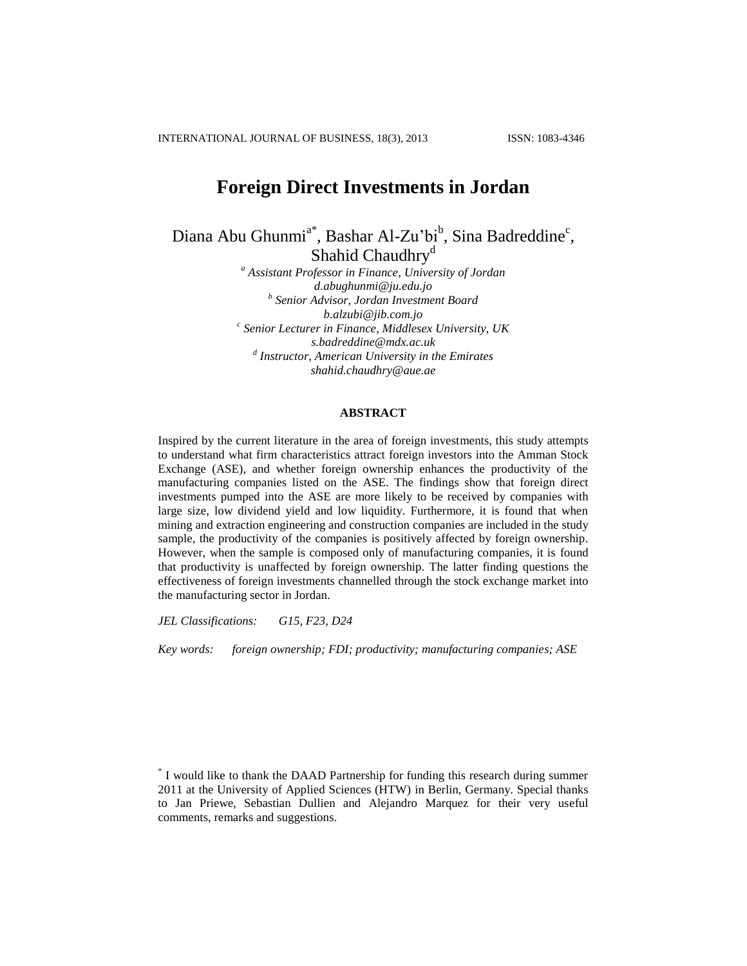# **Foreign Direct Investments in Jordan**

Diana Abu Ghunmi<sup>a\*</sup>, Bashar Al-Zu'bi<sup>b</sup>, Sina Badreddine<sup>c</sup>, Shahid [Chaudhry](http://www.linkedin.com/profile/view?id=158085968&authType=name&authToken=81CM&goback=%2Econ)<sup>d</sup>

> *<sup>a</sup> Assistant Professor in Finance, University of Jordan [d.abughunmi@ju.edu.jo](mailto:d.abughunmi@ju.edu.jo) b Senior Advisor, Jordan Investment Board [b.alzubi@jib.com.jo](mailto:b.alzubi@jib.com.jo) c Senior Lecturer in Finance, Middlesex University, UK [s.badreddine@mdx.ac.uk](mailto:s.badreddine@mdx.ac.uk) d Instructor, American University in the Emirates [shahid.chaudhry@aue.ae](mailto:shahid.chaudhry@aue.ae)*

## **ABSTRACT**

Inspired by the current literature in the area of foreign investments, this study attempts to understand what firm characteristics attract foreign investors into the Amman Stock Exchange (ASE), and whether foreign ownership enhances the productivity of the manufacturing companies listed on the ASE. The findings show that foreign direct investments pumped into the ASE are more likely to be received by companies with large size, low dividend yield and low liquidity. Furthermore, it is found that when mining and extraction engineering and construction companies are included in the study sample, the productivity of the companies is positively affected by foreign ownership. However, when the sample is composed only of manufacturing companies, it is found that productivity is unaffected by foreign ownership. The latter finding questions the effectiveness of foreign investments channelled through the stock exchange market into the manufacturing sector in Jordan.

*JEL Classifications: G15, F23, D24*

*Key words: foreign ownership; FDI; productivity; manufacturing companies; ASE*

<sup>\*</sup> I would like to thank the DAAD Partnership for funding this research during summer 2011 at the University of Applied Sciences (HTW) in Berlin, Germany. Special thanks to Jan Priewe, Sebastian Dullien and Alejandro Marquez for their very useful comments, remarks and suggestions.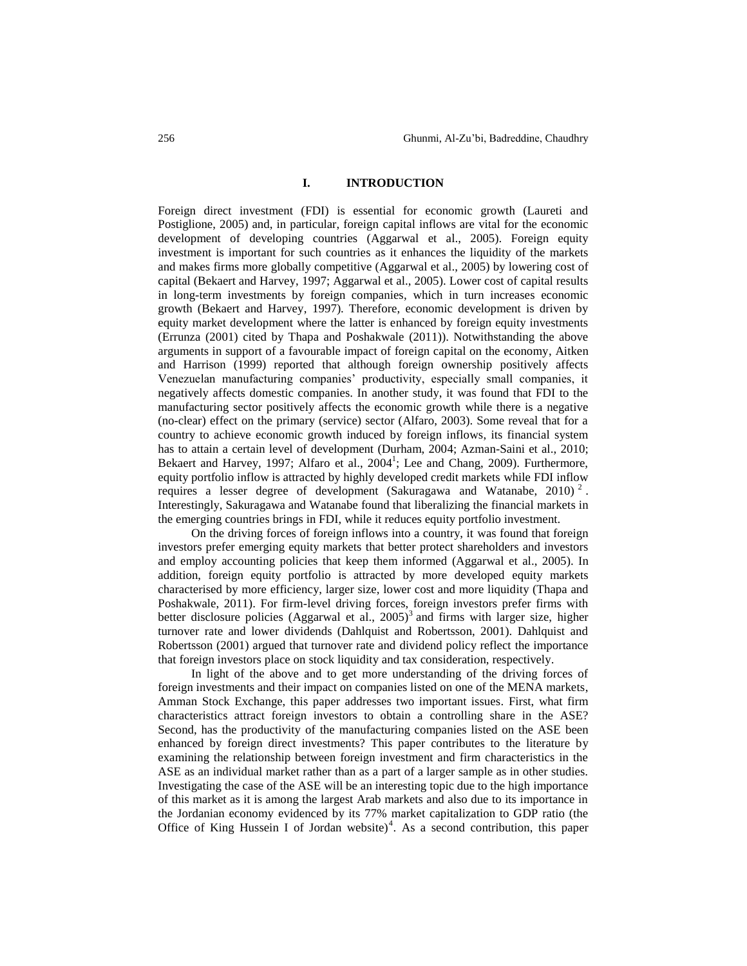#### **I. INTRODUCTION**

Foreign direct investment (FDI) is essential for economic growth (Laureti and Postiglione, 2005) and, in particular, foreign capital inflows are vital for the economic development of developing countries (Aggarwal et al., 2005). Foreign equity investment is important for such countries as it enhances the liquidity of the markets and makes firms more globally competitive (Aggarwal et al., 2005) by lowering cost of capital (Bekaert and Harvey, 1997; Aggarwal et al., 2005). Lower cost of capital results in long-term investments by foreign companies, which in turn increases economic growth (Bekaert and Harvey, 1997). Therefore, economic development is driven by equity market development where the latter is enhanced by foreign equity investments (Errunza (2001) cited by Thapa and Poshakwale (2011)). Notwithstanding the above arguments in support of a favourable impact of foreign capital on the economy, Aitken and Harrison (1999) reported that although foreign ownership positively affects Venezuelan manufacturing companies' productivity, especially small companies, it negatively affects domestic companies. In another study, it was found that FDI to the manufacturing sector positively affects the economic growth while there is a negative (no-clear) effect on the primary (service) sector (Alfaro, 2003). Some reveal that for a country to achieve economic growth induced by foreign inflows, its financial system has to attain a certain level of development (Durham, 2004; Azman-Saini et al., 2010; Bekaert and Harvey, 1997; Alfaro et al., 2004<sup>1</sup>; Lee and Chang, 2009). Furthermore, equity portfolio inflow is attracted by highly developed credit markets while FDI inflow requires a lesser degree of development (Sakuragawa and Watanabe, 2010)<sup>2</sup>. Interestingly, Sakuragawa and Watanabe found that liberalizing the financial markets in the emerging countries brings in FDI, while it reduces equity portfolio investment.

On the driving forces of foreign inflows into a country, it was found that foreign investors prefer emerging equity markets that better protect shareholders and investors and employ accounting policies that keep them informed (Aggarwal et al., 2005). In addition, foreign equity portfolio is attracted by more developed equity markets characterised by more efficiency, larger size, lower cost and more liquidity (Thapa and Poshakwale, 2011). For firm-level driving forces, foreign investors prefer firms with better disclosure policies (Aggarwal et al., 2005) 3 and firms with larger size, higher turnover rate and lower dividends (Dahlquist and Robertsson, 2001). Dahlquist and Robertsson (2001) argued that turnover rate and dividend policy reflect the importance that foreign investors place on stock liquidity and tax consideration, respectively.

In light of the above and to get more understanding of the driving forces of foreign investments and their impact on companies listed on one of the MENA markets, Amman Stock Exchange, this paper addresses two important issues. First, what firm characteristics attract foreign investors to obtain a controlling share in the ASE? Second, has the productivity of the manufacturing companies listed on the ASE been enhanced by foreign direct investments? This paper contributes to the literature by examining the relationship between foreign investment and firm characteristics in the ASE as an individual market rather than as a part of a larger sample as in other studies. Investigating the case of the ASE will be an interesting topic due to the high importance of this market as it is among the largest Arab markets and also due to its importance in the Jordanian economy evidenced by its 77% market capitalization to GDP ratio (the Office of King Hussein I of Jordan website)<sup>4</sup>. As a second contribution, this paper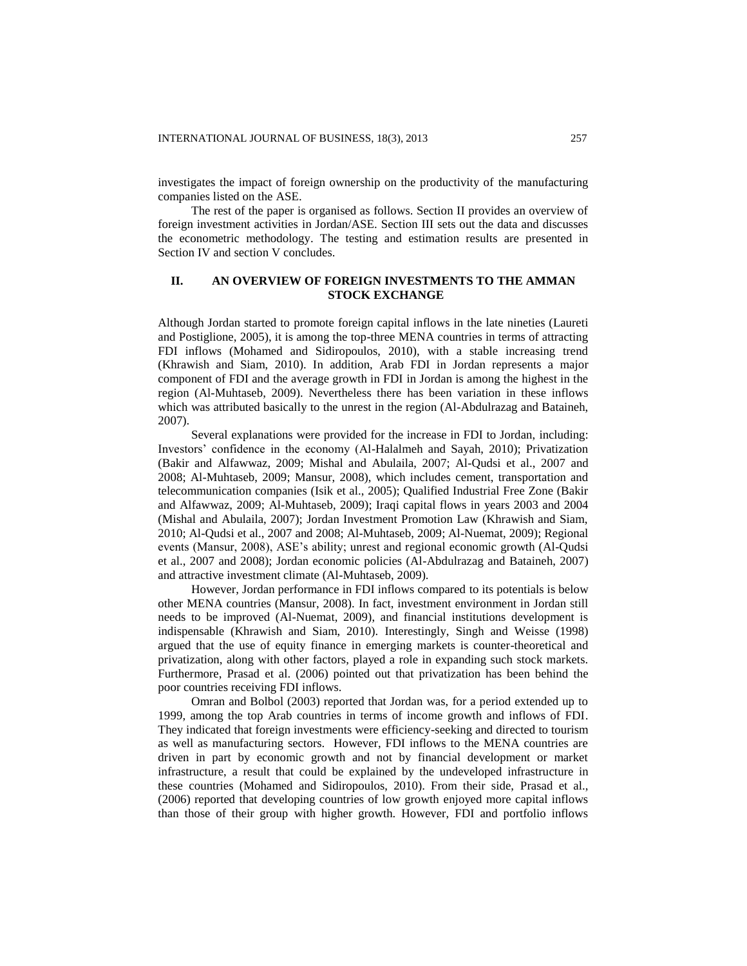investigates the impact of foreign ownership on the productivity of the manufacturing companies listed on the ASE.

The rest of the paper is organised as follows. Section II provides an overview of foreign investment activities in Jordan/ASE. Section III sets out the data and discusses the econometric methodology. The testing and estimation results are presented in Section IV and section V concludes.

## **II. AN OVERVIEW OF FOREIGN INVESTMENTS TO THE AMMAN STOCK EXCHANGE**

Although Jordan started to promote foreign capital inflows in the late nineties (Laureti and Postiglione, 2005), it is among the top-three MENA countries in terms of attracting FDI inflows (Mohamed and Sidiropoulos, 2010), with a stable increasing trend (Khrawish and Siam, 2010). In addition, Arab FDI in Jordan represents a major component of FDI and the average growth in FDI in Jordan is among the highest in the region (Al-Muhtaseb, 2009). Nevertheless there has been variation in these inflows which was attributed basically to the unrest in the region (Al-Abdulrazag and Bataineh, 2007).

Several explanations were provided for the increase in FDI to Jordan, including: Investors' confidence in the economy (Al-Halalmeh and Sayah, 2010); Privatization (Bakir and Alfawwaz, 2009; Mishal and Abulaila, 2007; Al-Qudsi et al., 2007 and 2008; Al-Muhtaseb, 2009; Mansur, 2008), which includes cement, transportation and telecommunication companies (Isik et al., 2005); Qualified Industrial Free Zone (Bakir and Alfawwaz, 2009; Al-Muhtaseb, 2009); Iraqi capital flows in years 2003 and 2004 (Mishal and Abulaila, 2007); Jordan Investment Promotion Law (Khrawish and Siam, 2010; Al-Qudsi et al., 2007 and 2008; Al-Muhtaseb, 2009; Al-Nuemat, 2009); Regional events (Mansur, 2008), ASE's ability; unrest and regional economic growth (Al-Qudsi et al., 2007 and 2008); Jordan economic policies (Al-Abdulrazag and Bataineh, 2007) and attractive investment climate (Al-Muhtaseb, 2009).

However, Jordan performance in FDI inflows compared to its potentials is below other MENA countries (Mansur, 2008). In fact, investment environment in Jordan still needs to be improved (Al-Nuemat, 2009), and financial institutions development is indispensable (Khrawish and Siam, 2010). Interestingly, Singh and Weisse (1998) argued that the use of equity finance in emerging markets is counter-theoretical and privatization, along with other factors, played a role in expanding such stock markets. Furthermore, Prasad et al. (2006) pointed out that privatization has been behind the poor countries receiving FDI inflows.

Omran and Bolbol (2003) reported that Jordan was, for a period extended up to 1999, among the top Arab countries in terms of income growth and inflows of FDI. They indicated that foreign investments were efficiency-seeking and directed to tourism as well as manufacturing sectors. However, FDI inflows to the MENA countries are driven in part by economic growth and not by financial development or market infrastructure, a result that could be explained by the undeveloped infrastructure in these countries (Mohamed and Sidiropoulos, 2010). From their side, Prasad et al., (2006) reported that developing countries of low growth enjoyed more capital inflows than those of their group with higher growth. However, FDI and portfolio inflows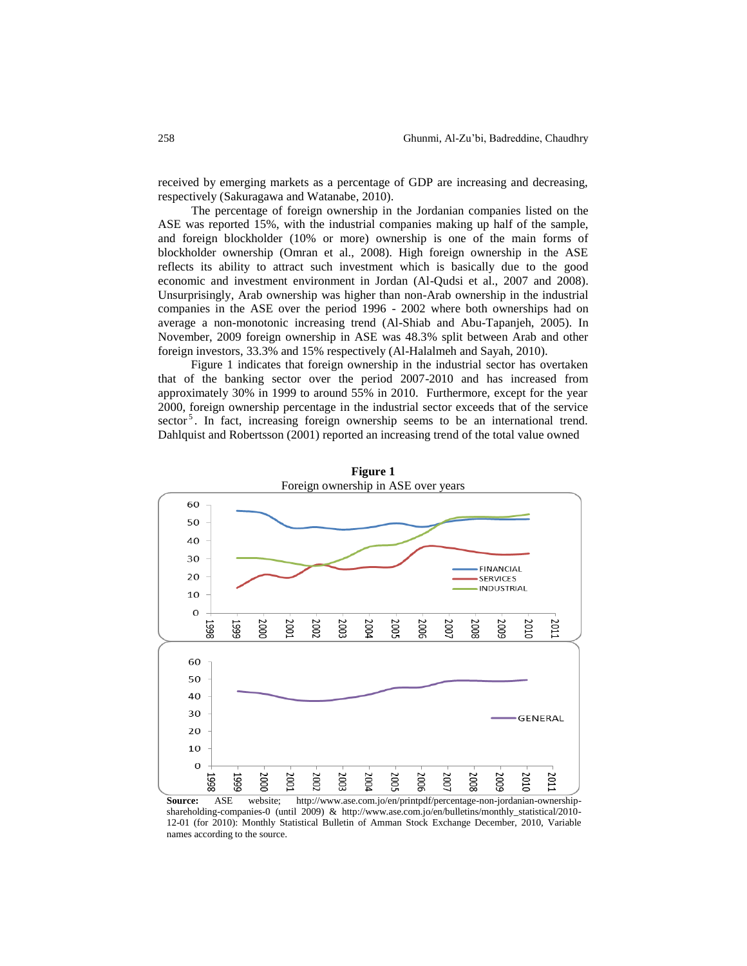received by emerging markets as a percentage of GDP are increasing and decreasing, respectively (Sakuragawa and Watanabe, 2010).

The percentage of foreign ownership in the Jordanian companies listed on the ASE was reported 15%, with the industrial companies making up half of the sample, and foreign blockholder (10% or more) ownership is one of the main forms of blockholder ownership (Omran et al., 2008). High foreign ownership in the ASE reflects its ability to attract such investment which is basically due to the good economic and investment environment in Jordan (Al-Qudsi et al., 2007 and 2008). Unsurprisingly, Arab ownership was higher than non-Arab ownership in the industrial companies in the ASE over the period 1996 - 2002 where both ownerships had on average a non-monotonic increasing trend (Al-Shiab and Abu-Tapanjeh, 2005). In November, 2009 foreign ownership in ASE was 48.3% split between Arab and other foreign investors, 33.3% and 15% respectively (Al-Halalmeh and Sayah, 2010).

Figure 1 indicates that foreign ownership in the industrial sector has overtaken that of the banking sector over the period 2007-2010 and has increased from approximately 30% in 1999 to around 55% in 2010. Furthermore, except for the year 2000, foreign ownership percentage in the industrial sector exceeds that of the service sector<sup>5</sup>. In fact, increasing foreign ownership seems to be an international trend. Dahlquist and Robertsson (2001) reported an increasing trend of the total value owned



**Figure 1**

**Source:** ASE website; http://www.ase.com.jo/en/printpdf/percentage-non-jordanian-ownershipshareholding-companies-0 (until 2009) & http://www.ase.com.jo/en/bulletins/monthly\_statistical/2010- 12-01 (for 2010): Monthly Statistical Bulletin of Amman Stock Exchange December, 2010, Variable names according to the source.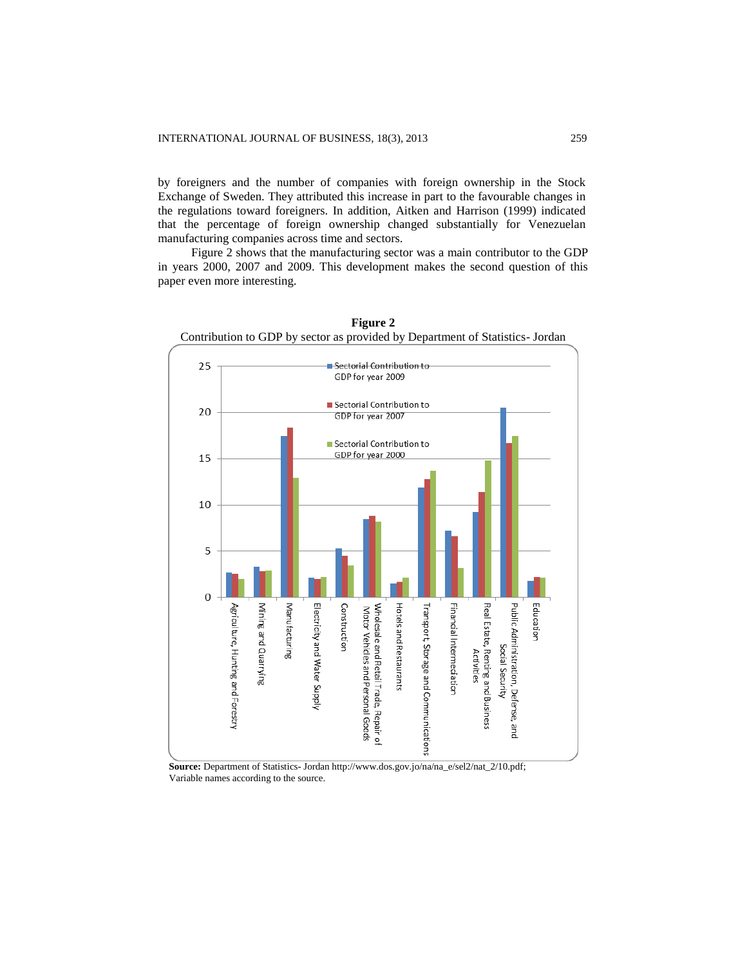by foreigners and the number of companies with foreign ownership in the Stock Exchange of Sweden. They attributed this increase in part to the favourable changes in the regulations toward foreigners. In addition, Aitken and Harrison (1999) indicated that the percentage of foreign ownership changed substantially for Venezuelan manufacturing companies across time and sectors.

Figure 2 shows that the manufacturing sector was a main contributor to the GDP in years 2000, 2007 and 2009. This development makes the second question of this paper even more interesting.



**Figure 2**

**Source:** Department of Statistics- Jordan http://www.dos.gov.jo/na/na\_e/sel2/nat\_2/10.pdf; Variable names according to the source.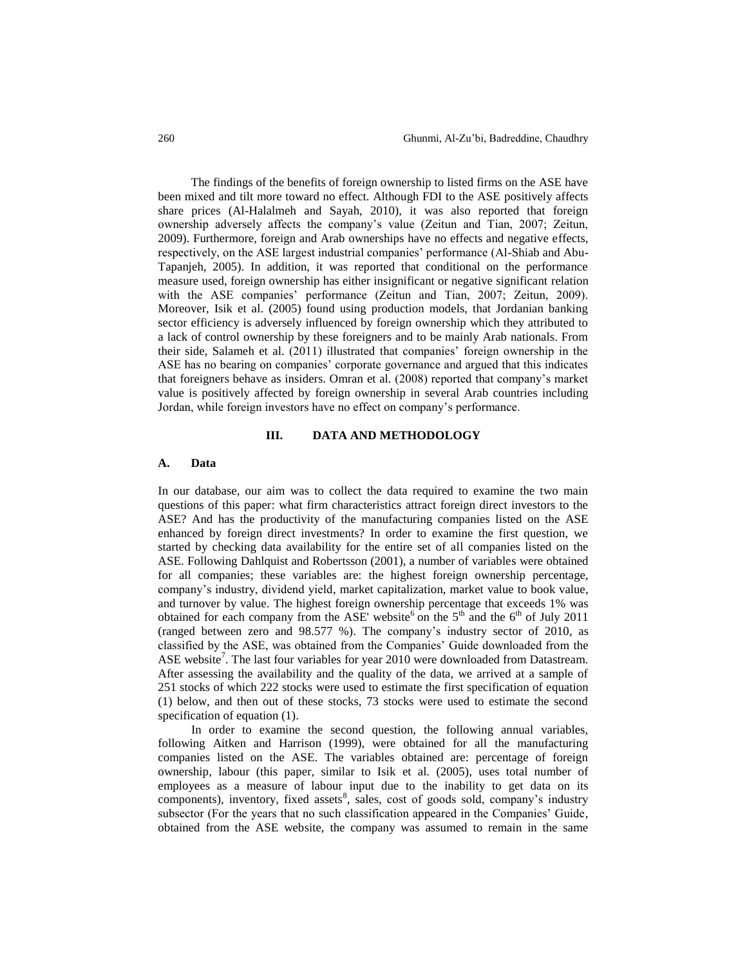The findings of the benefits of foreign ownership to listed firms on the ASE have been mixed and tilt more toward no effect. Although FDI to the ASE positively affects share prices (Al-Halalmeh and Sayah, 2010), it was also reported that foreign ownership adversely affects the company's value (Zeitun and Tian, 2007; Zeitun, 2009). Furthermore, foreign and Arab ownerships have no effects and negative effects, respectively, on the ASE largest industrial companies' performance (Al-Shiab and Abu-Tapanjeh, 2005). In addition, it was reported that conditional on the performance measure used, foreign ownership has either insignificant or negative significant relation with the ASE companies' performance (Zeitun and Tian, 2007; Zeitun, 2009). Moreover, Isik et al. (2005) found using production models, that Jordanian banking sector efficiency is adversely influenced by foreign ownership which they attributed to a lack of control ownership by these foreigners and to be mainly Arab nationals. From their side, Salameh et al. (2011) illustrated that companies' foreign ownership in the ASE has no bearing on companies' corporate governance and argued that this indicates that foreigners behave as insiders. Omran et al. (2008) reported that company's market value is positively affected by foreign ownership in several Arab countries including Jordan, while foreign investors have no effect on company's performance.

## **III. DATA AND METHODOLOGY**

### **A. Data**

In our database, our aim was to collect the data required to examine the two main questions of this paper: what firm characteristics attract foreign direct investors to the ASE? And has the productivity of the manufacturing companies listed on the ASE enhanced by foreign direct investments? In order to examine the first question, we started by checking data availability for the entire set of all companies listed on the ASE. Following Dahlquist and Robertsson (2001), a number of variables were obtained for all companies; these variables are: the highest foreign ownership percentage, company's industry, dividend yield, market capitalization, market value to book value, and turnover by value. The highest foreign ownership percentage that exceeds 1% was obtained for each company from the ASE' website<sup>6</sup> on the  $5<sup>th</sup>$  and the  $6<sup>th</sup>$  of July 2011 (ranged between zero and 98.577 %). The company's industry sector of 2010, as classified by the ASE, was obtained from the Companies' Guide downloaded from the ASE website<sup>7</sup>. The last four variables for year 2010 were downloaded from Datastream. After assessing the availability and the quality of the data, we arrived at a sample of 251 stocks of which 222 stocks were used to estimate the first specification of equation (1) below, and then out of these stocks, 73 stocks were used to estimate the second specification of equation (1).

In order to examine the second question, the following annual variables, following Aitken and Harrison (1999), were obtained for all the manufacturing companies listed on the ASE. The variables obtained are: percentage of foreign ownership, labour (this paper, similar to Isik et al. (2005), uses total number of employees as a measure of labour input due to the inability to get data on its components), inventory, fixed assets<sup>8</sup>, sales, cost of goods sold, company's industry subsector (For the years that no such classification appeared in the Companies' Guide, obtained from the ASE website, the company was assumed to remain in the same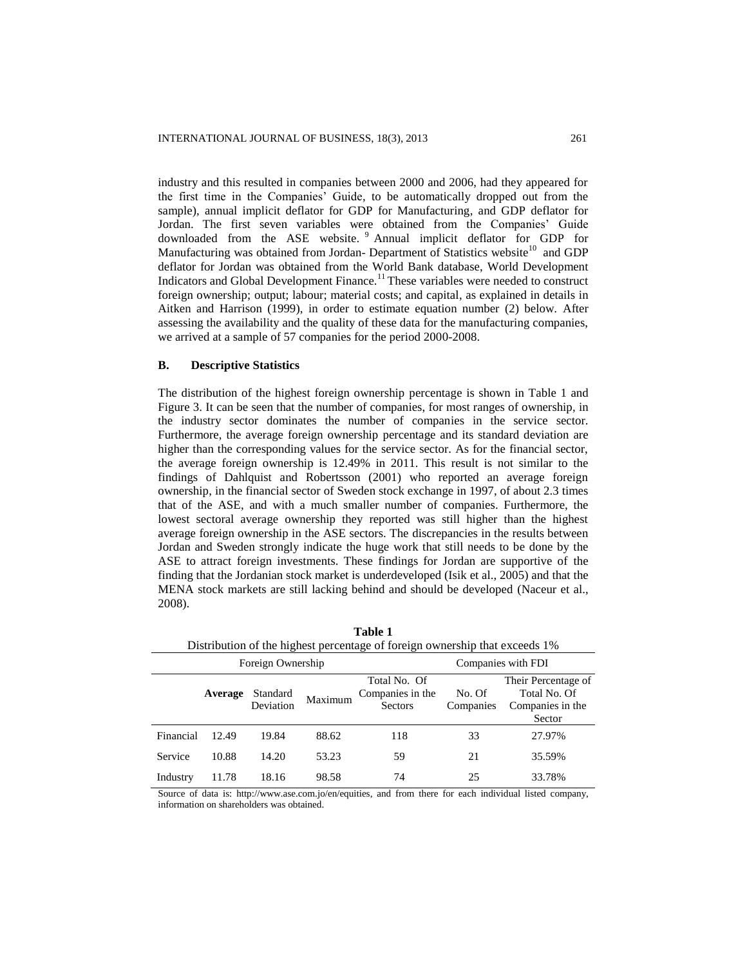industry and this resulted in companies between 2000 and 2006, had they appeared for the first time in the Companies' Guide, to be automatically dropped out from the sample), annual implicit deflator for GDP for Manufacturing, and GDP deflator for Jordan. The first seven variables were obtained from the Companies' Guide downloaded from the ASE website. <sup>9</sup> Annual implicit deflator for GDP for Manufacturing was obtained from Jordan- Department of Statistics website<sup>10</sup> and GDP deflator for Jordan was obtained from the World Bank database, [World Development](http://data.worldbank.org/data-catalog)  [Indicators and Global Development Finance.](http://data.worldbank.org/data-catalog)<sup>11</sup> These variables were needed to construct foreign ownership; output; labour; material costs; and capital, as explained in details in Aitken and Harrison (1999), in order to estimate equation number (2) below. After assessing the availability and the quality of these data for the manufacturing companies, we arrived at a sample of 57 companies for the period 2000-2008.

## **B. Descriptive Statistics**

The distribution of the highest foreign ownership percentage is shown in Table 1 and Figure 3. It can be seen that the number of companies, for most ranges of ownership, in the industry sector dominates the number of companies in the service sector. Furthermore, the average foreign ownership percentage and its standard deviation are higher than the corresponding values for the service sector. As for the financial sector, the average foreign ownership is 12.49% in 2011. This result is not similar to the findings of Dahlquist and Robertsson (2001) who reported an average foreign ownership, in the financial sector of Sweden stock exchange in 1997, of about 2.3 times that of the ASE, and with a much smaller number of companies. Furthermore, the lowest sectoral average ownership they reported was still higher than the highest average foreign ownership in the ASE sectors. The discrepancies in the results between Jordan and Sweden strongly indicate the huge work that still needs to be done by the ASE to attract foreign investments. These findings for Jordan are supportive of the finding that the Jordanian stock market is underdeveloped (Isik et al., 2005) and that the MENA stock markets are still lacking behind and should be developed (Naceur et al., 2008).

| Distribution of the highest percentage of foreign ownership that executs 170 |         |                       |         |                                                    |                     |                                                                   |  |  |
|------------------------------------------------------------------------------|---------|-----------------------|---------|----------------------------------------------------|---------------------|-------------------------------------------------------------------|--|--|
| Foreign Ownership                                                            |         |                       |         |                                                    | Companies with FDI  |                                                                   |  |  |
|                                                                              | Average | Standard<br>Deviation | Maximum | Total No. Of<br>Companies in the<br><b>Sectors</b> | No. Of<br>Companies | Their Percentage of<br>Total No. Of<br>Companies in the<br>Sector |  |  |
| Financial                                                                    | 12.49   | 19.84                 | 88.62   | 118                                                | 33                  | 27.97%                                                            |  |  |
| Service                                                                      | 10.88   | 14.20                 | 53.23   | 59                                                 | 21                  | 35.59%                                                            |  |  |
| Industry                                                                     | 11.78   | 18.16                 | 98.58   | 74                                                 | 25                  | 33.78%                                                            |  |  |

**Table 1** Distribution of the highest percentage of foreign ownership that exceeds 1%

Source of data is: http://www.ase.com.jo/en/equities, and from there for each individual listed company, information on shareholders was obtained.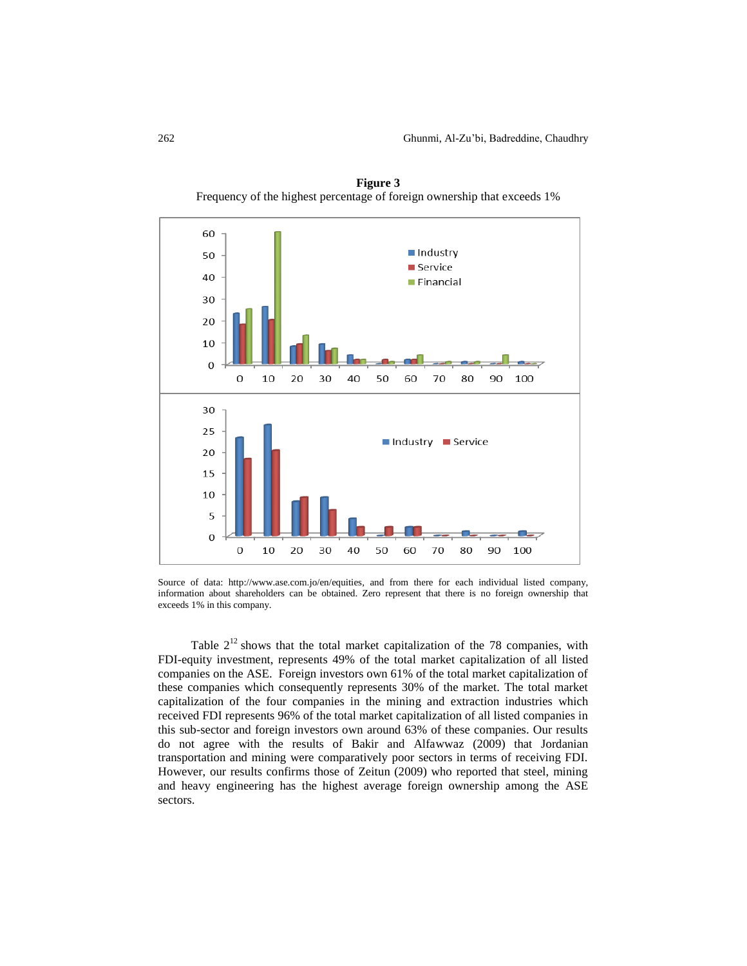

**Figure 3** Frequency of the highest percentage of foreign ownership that exceeds 1%

Source of data: http://www.ase.com.jo/en/equities, and from there for each individual listed company, information about shareholders can be obtained. Zero represent that there is no foreign ownership that exceeds 1% in this company.

Table  $2^{12}$  shows that the total market capitalization of the 78 companies, with FDI-equity investment, represents 49% of the total market capitalization of all listed companies on the ASE. Foreign investors own 61% of the total market capitalization of these companies which consequently represents 30% of the market. The total market capitalization of the four companies in the mining and extraction industries which received FDI represents 96% of the total market capitalization of all listed companies in this sub-sector and foreign investors own around 63% of these companies. Our results do not agree with the results of Bakir and Alfawwaz (2009) that Jordanian transportation and mining were comparatively poor sectors in terms of receiving FDI. However, our results confirms those of Zeitun (2009) who reported that steel, mining and heavy engineering has the highest average foreign ownership among the ASE sectors.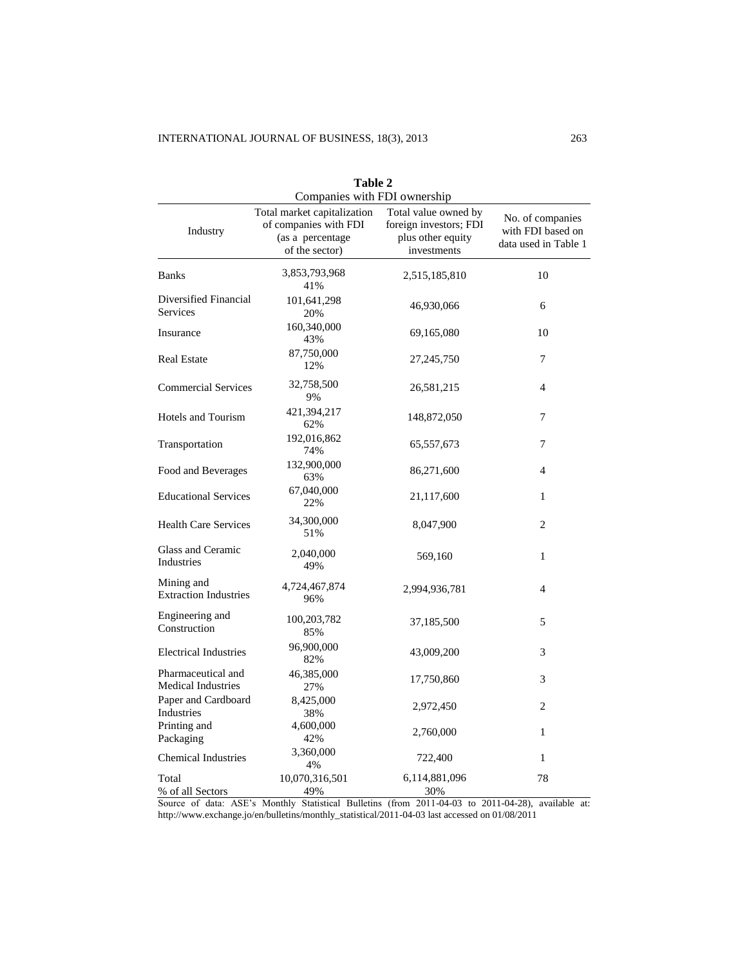| Table 2<br>Companies with FDI ownership         |                                                                                            |                                                                                    |                                                               |  |  |
|-------------------------------------------------|--------------------------------------------------------------------------------------------|------------------------------------------------------------------------------------|---------------------------------------------------------------|--|--|
| Industry                                        | Total market capitalization<br>of companies with FDI<br>(as a percentage<br>of the sector) | Total value owned by<br>foreign investors; FDI<br>plus other equity<br>investments | No. of companies<br>with FDI based on<br>data used in Table 1 |  |  |
| <b>Banks</b>                                    | 3,853,793,968<br>41%                                                                       | 2,515,185,810                                                                      | 10                                                            |  |  |
| Diversified Financial<br>Services               | 101,641,298<br>20%                                                                         | 46,930,066                                                                         | 6                                                             |  |  |
| Insurance                                       | 160,340,000<br>43%                                                                         | 69,165,080                                                                         | 10                                                            |  |  |
| <b>Real Estate</b>                              | 87,750,000<br>12%                                                                          | 27,245,750                                                                         | 7                                                             |  |  |
| <b>Commercial Services</b>                      | 32,758,500<br>9%                                                                           | 26,581,215                                                                         | $\overline{4}$                                                |  |  |
| <b>Hotels and Tourism</b>                       | 421,394,217<br>62%                                                                         | 148,872,050                                                                        | 7                                                             |  |  |
| Transportation                                  | 192,016,862<br>74%                                                                         | 65,557,673                                                                         | 7                                                             |  |  |
| Food and Beverages                              | 132,900,000<br>63%                                                                         | 86,271,600                                                                         | $\overline{4}$                                                |  |  |
| <b>Educational Services</b>                     | 67,040,000<br>22%                                                                          | 21,117,600                                                                         | $\mathbf{1}$                                                  |  |  |
| <b>Health Care Services</b>                     | 34,300,000<br>51%                                                                          | 8,047,900                                                                          | $\overline{c}$                                                |  |  |
| Glass and Ceramic<br>Industries                 | 2,040,000<br>49%                                                                           | 569,160                                                                            | 1                                                             |  |  |
| Mining and<br><b>Extraction Industries</b>      | 4,724,467,874<br>96%                                                                       | 2,994,936,781                                                                      | $\overline{4}$                                                |  |  |
| Engineering and<br>Construction                 | 100,203,782<br>85%                                                                         | 37,185,500                                                                         | 5                                                             |  |  |
| <b>Electrical Industries</b>                    | 96,900,000<br>82%                                                                          | 43,009,200                                                                         | 3                                                             |  |  |
| Pharmaceutical and<br><b>Medical Industries</b> | 46,385,000<br>27%                                                                          | 17,750,860                                                                         | 3                                                             |  |  |
| Paper and Cardboard<br>Industries               | 8,425,000<br>38%                                                                           | 2,972,450                                                                          | 2                                                             |  |  |
| Printing and<br>Packaging                       | 4,600,000<br>42%                                                                           | 2,760,000                                                                          | $\mathbf{1}$                                                  |  |  |
| <b>Chemical Industries</b>                      | 3,360,000<br>4%                                                                            | 722,400                                                                            | 1                                                             |  |  |
| Total<br>% of all Sectors                       | 10,070,316,501<br>49%                                                                      | 6,114,881,096<br>30%                                                               | 78                                                            |  |  |

Source of data: ASE's Monthly Statistical Bulletins (from 2011-04-03 to 2011-04-28), available at: http://www.exchange.jo/en/bulletins/monthly\_statistical/2011-04-03 last accessed on 01/08/2011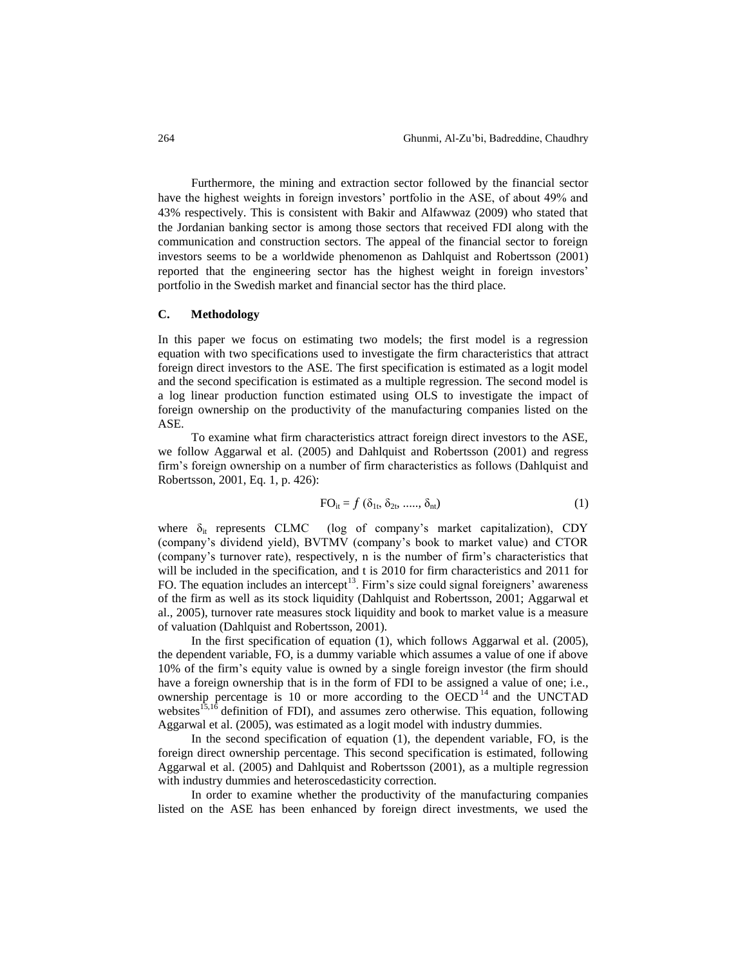Furthermore, the mining and extraction sector followed by the financial sector have the highest weights in foreign investors' portfolio in the ASE, of about 49% and 43% respectively. This is consistent with Bakir and Alfawwaz (2009) who stated that the Jordanian banking sector is among those sectors that received FDI along with the communication and construction sectors. The appeal of the financial sector to foreign investors seems to be a worldwide phenomenon as Dahlquist and Robertsson (2001) reported that the engineering sector has the highest weight in foreign investors' portfolio in the Swedish market and financial sector has the third place.

### **C. Methodology**

In this paper we focus on estimating two models; the first model is a regression equation with two specifications used to investigate the firm characteristics that attract foreign direct investors to the ASE. The first specification is estimated as a logit model and the second specification is estimated as a multiple regression. The second model is a log linear production function estimated using OLS to investigate the impact of foreign ownership on the productivity of the manufacturing companies listed on the ASE.

To examine what firm characteristics attract foreign direct investors to the ASE, we follow Aggarwal et al. (2005) and Dahlquist and Robertsson (2001) and regress firm's foreign ownership on a number of firm characteristics as follows (Dahlquist and Robertsson, 2001, Eq. 1, p. 426):

$$
FO_{it} = f(\delta_{1t}, \delta_{2t}, \dots, \delta_{nt})
$$
 (1)

where  $\delta_{it}$  represents CLMC (log of company's market capitalization), CDY (company's dividend yield), BVTMV (company's book to market value) and CTOR (company's turnover rate), respectively, n is the number of firm's characteristics that will be included in the specification, and t is 2010 for firm characteristics and 2011 for FO. The equation includes an intercept<sup>13</sup>. Firm's size could signal foreigners' awareness of the firm as well as its stock liquidity (Dahlquist and Robertsson, 2001; Aggarwal et al., 2005), turnover rate measures stock liquidity and book to market value is a measure of valuation (Dahlquist and Robertsson, 2001).

In the first specification of equation (1), which follows Aggarwal et al. (2005), the dependent variable, FO, is a dummy variable which assumes a value of one if above 10% of the firm's equity value is owned by a single foreign investor (the firm should have a foreign ownership that is in the form of FDI to be assigned a value of one; i.e., ownership percentage is 10 or more according to the OECD<sup>14</sup> and the UNCTAD websites<sup>15,16</sup> definition of FDI), and assumes zero otherwise. This equation, following Aggarwal et al. (2005), was estimated as a logit model with industry dummies.

In the second specification of equation (1), the dependent variable, FO, is the foreign direct ownership percentage. This second specification is estimated, following Aggarwal et al. (2005) and Dahlquist and Robertsson (2001), as a multiple regression with industry dummies and heteroscedasticity correction.

In order to examine whether the productivity of the manufacturing companies listed on the ASE has been enhanced by foreign direct investments, we used the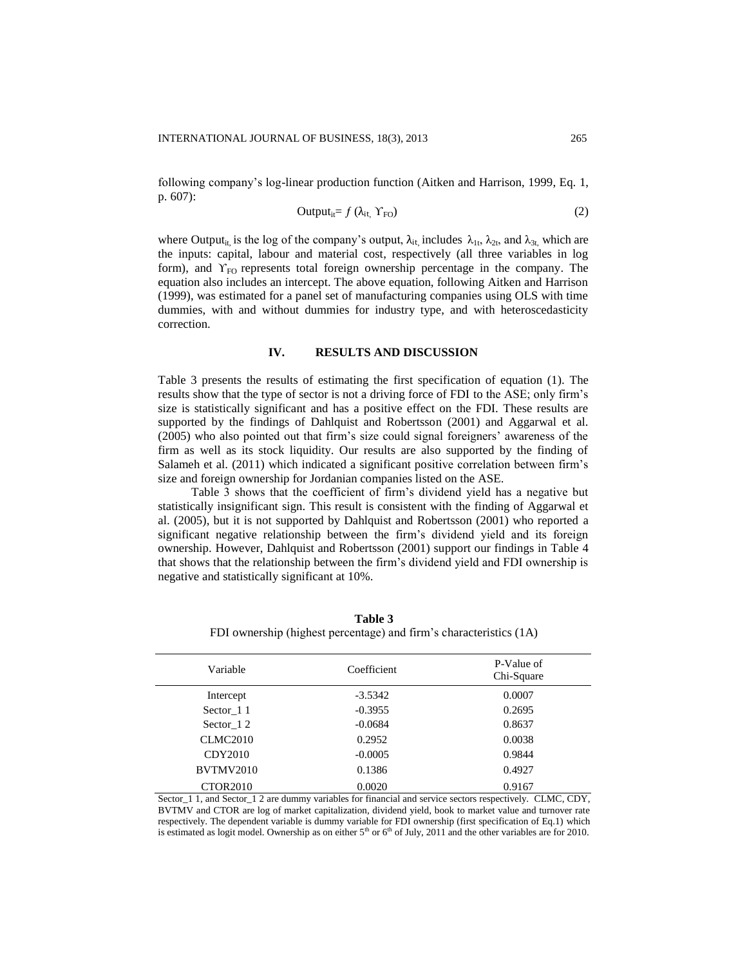following company's log-linear production function (Aitken and Harrison, 1999, Eq. 1, p. 607):

$$
Output_{it} = f (\lambda_{it}, Y_{FO})
$$
 (2)

where Output<sub>it,</sub> is the log of the company's output,  $\lambda_{it}$  includes  $\lambda_{1t}$ ,  $\lambda_{2t}$ , and  $\lambda_{3t}$ , which are the inputs: capital, labour and material cost, respectively (all three variables in log form), and  $Y_{\text{FO}}$  represents total foreign ownership percentage in the company. The equation also includes an intercept. The above equation, following Aitken and Harrison (1999), was estimated for a panel set of manufacturing companies using OLS with time dummies, with and without dummies for industry type, and with heteroscedasticity correction.

## **IV. RESULTS AND DISCUSSION**

Table 3 presents the results of estimating the first specification of equation (1). The results show that the type of sector is not a driving force of FDI to the ASE; only firm's size is statistically significant and has a positive effect on the FDI. These results are supported by the findings of Dahlquist and Robertsson (2001) and Aggarwal et al. (2005) who also pointed out that firm's size could signal foreigners' awareness of the firm as well as its stock liquidity. Our results are also supported by the finding of Salameh et al. (2011) which indicated a significant positive correlation between firm's size and foreign ownership for Jordanian companies listed on the ASE.

Table 3 shows that the coefficient of firm's dividend yield has a negative but statistically insignificant sign. This result is consistent with the finding of Aggarwal et al. (2005), but it is not supported by Dahlquist and Robertsson (2001) who reported a significant negative relationship between the firm's dividend yield and its foreign ownership. However, Dahlquist and Robertsson (2001) support our findings in Table 4 that shows that the relationship between the firm's dividend yield and FDI ownership is negative and statistically significant at 10%.

| Variable             | Coefficient | P-Value of<br>Chi-Square |  |
|----------------------|-------------|--------------------------|--|
| Intercept            | $-3.5342$   | 0.0007                   |  |
| Sector 11            | $-0.3955$   | 0.2695                   |  |
| Sector 12            | $-0.0684$   | 0.8637                   |  |
| CLMC2010             | 0.2952      | 0.0038                   |  |
| CDY2010              | $-0.0005$   | 0.9844                   |  |
| <b>BVTMV2010</b>     | 0.1386      | 0.4927                   |  |
| CTOR <sub>2010</sub> | 0.0020      | 0.9167                   |  |

**Table 3** FDI ownership (highest percentage) and firm's characteristics (1A)

Sector 1 1, and Sector 1 2 are dummy variables for financial and service sectors respectively. CLMC, CDY, BVTMV and CTOR are log of market capitalization, dividend yield, book to market value and turnover rate respectively. The dependent variable is dummy variable for FDI ownership (first specification of Eq.1) which is estimated as logit model. Ownership as on either  $5<sup>th</sup>$  or  $6<sup>th</sup>$  of July, 2011 and the other variables are for 2010.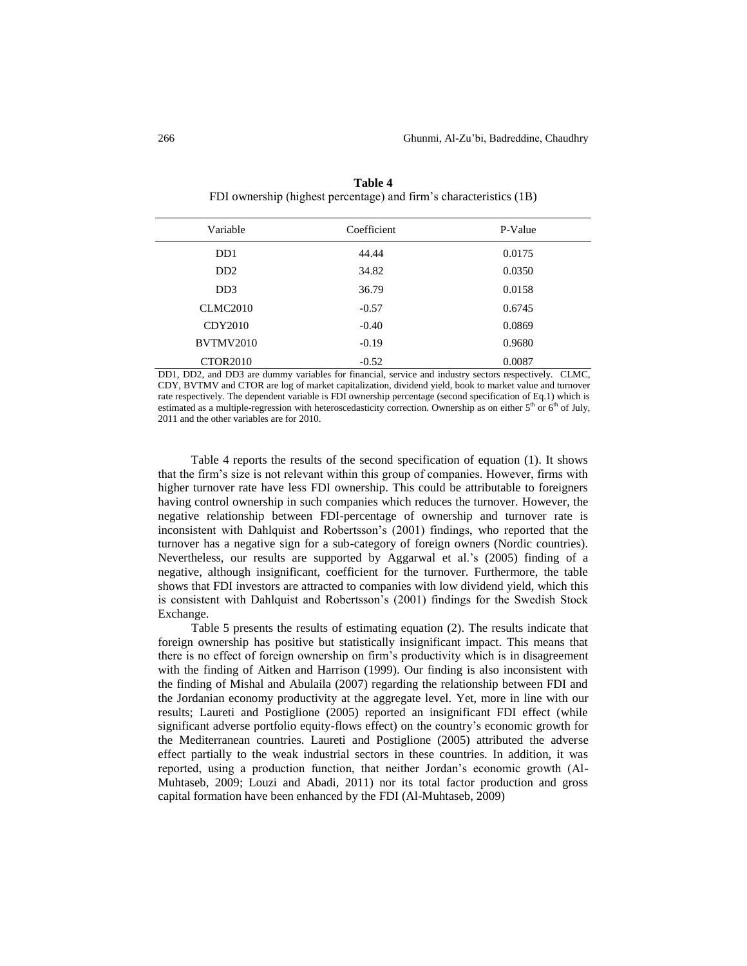| Variable                    | Coefficient | P-Value |
|-----------------------------|-------------|---------|
| D <sub>D</sub> 1            | 44.44       | 0.0175  |
| D <sub>D</sub> <sub>2</sub> | 34.82       | 0.0350  |
| D <sub>D</sub> 3            | 36.79       | 0.0158  |
| <b>CLMC2010</b>             | $-0.57$     | 0.6745  |
| CDY2010                     | $-0.40$     | 0.0869  |
| BVTMV2010                   | $-0.19$     | 0.9680  |
| CTOR <sub>2010</sub>        | $-0.52$     | 0.0087  |

**Table 4** FDI ownership (highest percentage) and firm's characteristics (1B)

DD1, DD2, and DD3 are dummy variables for financial, service and industry sectors respectively. CLMC, CDY, BVTMV and CTOR are log of market capitalization, dividend yield, book to market value and turnover rate respectively. The dependent variable is FDI ownership percentage (second specification of Eq.1) which is estimated as a multiple-regression with heteroscedasticity correction. Ownership as on either  $5<sup>th</sup>$  or  $6<sup>th</sup>$  of July, 2011 and the other variables are for 2010.

Table 4 reports the results of the second specification of equation (1). It shows that the firm's size is not relevant within this group of companies. However, firms with higher turnover rate have less FDI ownership. This could be attributable to foreigners having control ownership in such companies which reduces the turnover. However, the negative relationship between FDI-percentage of ownership and turnover rate is inconsistent with Dahlquist and Robertsson's (2001) findings, who reported that the turnover has a negative sign for a sub-category of foreign owners (Nordic countries). Nevertheless, our results are supported by Aggarwal et al.'s (2005) finding of a negative, although insignificant, coefficient for the turnover. Furthermore, the table shows that FDI investors are attracted to companies with low dividend yield, which this is consistent with Dahlquist and Robertsson's (2001) findings for the Swedish Stock Exchange.

Table 5 presents the results of estimating equation (2). The results indicate that foreign ownership has positive but statistically insignificant impact. This means that there is no effect of foreign ownership on firm's productivity which is in disagreement with the finding of Aitken and Harrison (1999). Our finding is also inconsistent with the finding of Mishal and Abulaila (2007) regarding the relationship between FDI and the Jordanian economy productivity at the aggregate level. Yet, more in line with our results; Laureti and Postiglione (2005) reported an insignificant FDI effect (while significant adverse portfolio equity-flows effect) on the country's economic growth for the Mediterranean countries. Laureti and Postiglione (2005) attributed the adverse effect partially to the weak industrial sectors in these countries. In addition, it was reported, using a production function, that neither Jordan's economic growth (Al-Muhtaseb, 2009; Louzi and Abadi, 2011) nor its total factor production and gross capital formation have been enhanced by the FDI (Al-Muhtaseb, 2009)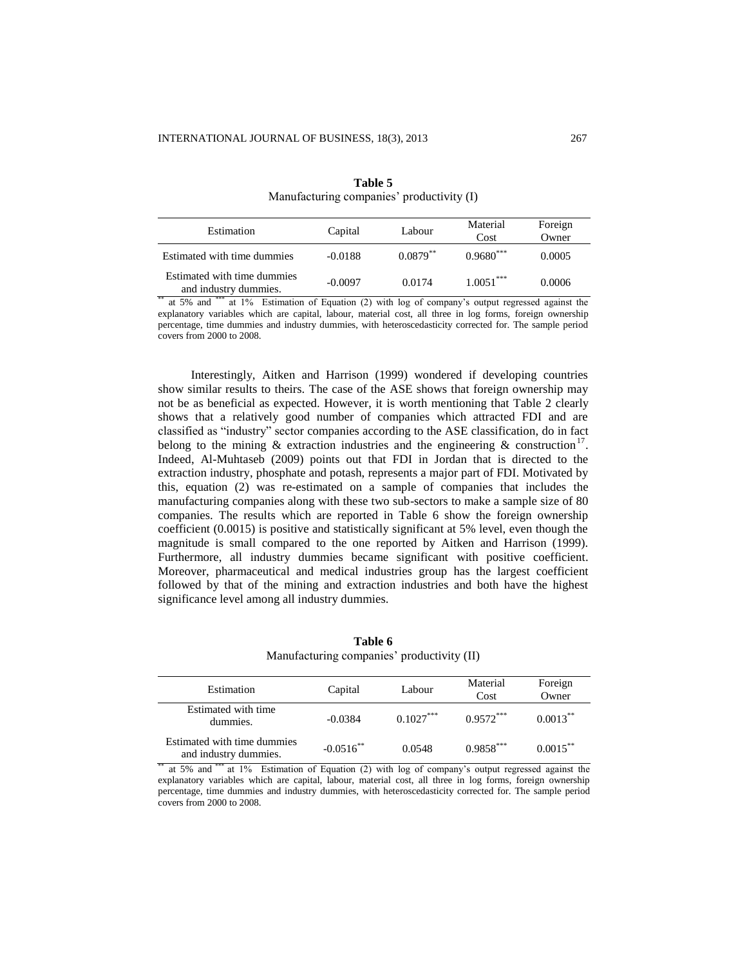| Estimation                                           | Capital   | Labour     | Material<br>Cost | Foreign<br>Owner |
|------------------------------------------------------|-----------|------------|------------------|------------------|
| Estimated with time dummies                          | $-0.0188$ | $0.0879**$ | $0.9680***$      | 0.0005           |
| Estimated with time dummies<br>and industry dummies. | $-0.0097$ | 0.0174     | $1.0051***$      | 0.0006           |

**Table 5** Manufacturing companies' productivity (I)

\*\* at 5% and \*\*\* at 1% Estimation of Equation (2) with log of company's output regressed against the explanatory variables which are capital, labour, material cost, all three in log forms, foreign ownership percentage, time dummies and industry dummies, with heteroscedasticity corrected for. The sample period covers from 2000 to 2008.

Interestingly, Aitken and Harrison (1999) wondered if developing countries show similar results to theirs. The case of the ASE shows that foreign ownership may not be as beneficial as expected. However, it is worth mentioning that Table 2 clearly shows that a relatively good number of companies which attracted FDI and are classified as "industry" sector companies according to the ASE classification, do in fact belong to the mining  $\&$  extraction industries and the engineering  $\&$  construction<sup>17</sup>. Indeed, Al-Muhtaseb (2009) points out that FDI in Jordan that is directed to the extraction industry, phosphate and potash, represents a major part of FDI. Motivated by this, equation (2) was re-estimated on a sample of companies that includes the manufacturing companies along with these two sub-sectors to make a sample size of 80 companies. The results which are reported in Table 6 show the foreign ownership coefficient (0.0015) is positive and statistically significant at 5% level, even though the magnitude is small compared to the one reported by Aitken and Harrison (1999). Furthermore, all industry dummies became significant with positive coefficient. Moreover, pharmaceutical and medical industries group has the largest coefficient followed by that of the mining and extraction industries and both have the highest significance level among all industry dummies.

**Table 6** Manufacturing companies' productivity (II)

| Estimation                                           | Capital      | Labour      | Material<br>Cost | Foreign<br>Owner |
|------------------------------------------------------|--------------|-------------|------------------|------------------|
| Estimated with time<br>dummies.                      | $-0.0384$    | $0.1027***$ | $0.9572***$      | $0.0013***$      |
| Estimated with time dummies<br>and industry dummies. | $-0.0516$ ** | 0.0548      | $0.9858^{***}$   | $0.0015$ **      |

at 5% and \*\*\* at 1% Estimation of Equation (2) with log of company's output regressed against the explanatory variables which are capital, labour, material cost, all three in log forms, foreign ownership percentage, time dummies and industry dummies, with heteroscedasticity corrected for. The sample period covers from 2000 to 2008.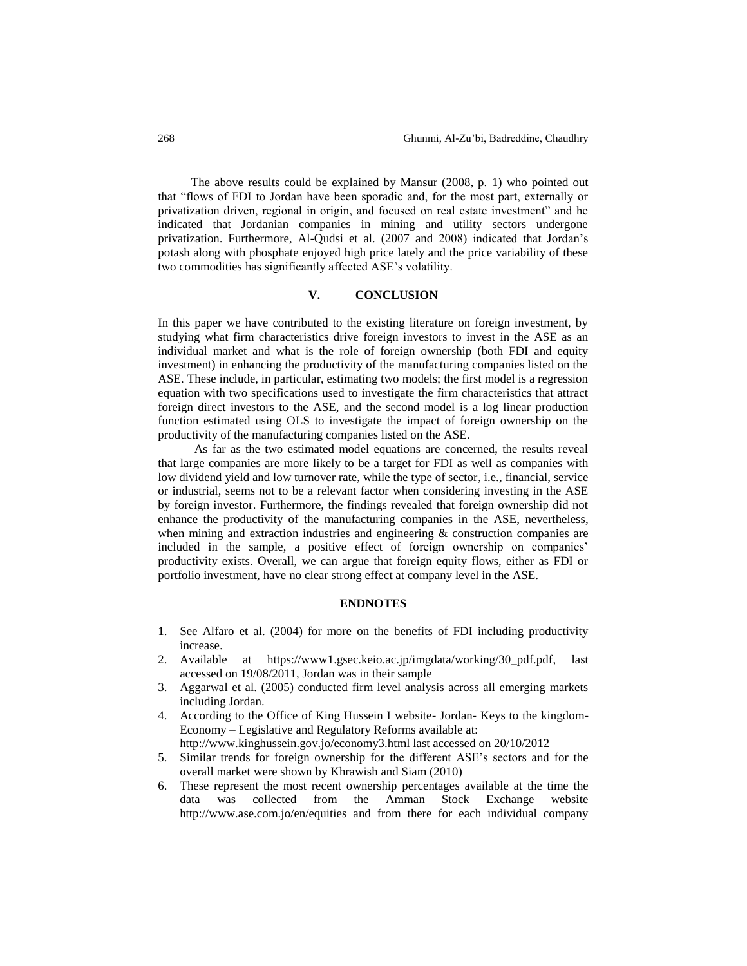The above results could be explained by Mansur (2008, p. 1) who pointed out that "flows of FDI to Jordan have been sporadic and, for the most part, externally or privatization driven, regional in origin, and focused on real estate investment" and he indicated that Jordanian companies in mining and utility sectors undergone privatization. Furthermore, Al-Qudsi et al. (2007 and 2008) indicated that Jordan's potash along with phosphate enjoyed high price lately and the price variability of these two commodities has significantly affected ASE's volatility.

## **V. CONCLUSION**

In this paper we have contributed to the existing literature on foreign investment, by studying what firm characteristics drive foreign investors to invest in the ASE as an individual market and what is the role of foreign ownership (both FDI and equity investment) in enhancing the productivity of the manufacturing companies listed on the ASE. These include, in particular, estimating two models; the first model is a regression equation with two specifications used to investigate the firm characteristics that attract foreign direct investors to the ASE, and the second model is a log linear production function estimated using OLS to investigate the impact of foreign ownership on the productivity of the manufacturing companies listed on the ASE.

As far as the two estimated model equations are concerned, the results reveal that large companies are more likely to be a target for FDI as well as companies with low dividend yield and low turnover rate, while the type of sector, i.e., financial, service or industrial, seems not to be a relevant factor when considering investing in the ASE by foreign investor. Furthermore, the findings revealed that foreign ownership did not enhance the productivity of the manufacturing companies in the ASE, nevertheless, when mining and extraction industries and engineering & construction companies are included in the sample, a positive effect of foreign ownership on companies' productivity exists. Overall, we can argue that foreign equity flows, either as FDI or portfolio investment, have no clear strong effect at company level in the ASE.

## **ENDNOTES**

- 1. See Alfaro et al. (2004) for more on the benefits of FDI including productivity increase.
- 2. Available at https://www1.gsec.keio.ac.jp/imgdata/working/30\_pdf.pdf, last accessed on 19/08/2011, Jordan was in their sample
- 3. Aggarwal et al. (2005) conducted firm level analysis across all emerging markets including Jordan.
- 4. According to the Office of King Hussein I website- Jordan- Keys to the kingdom-Economy – Legislative and Regulatory Reforms available at:
- http://www.kinghussein.gov.jo/economy3.html last accessed on 20/10/2012
- 5. Similar trends for foreign ownership for the different ASE's sectors and for the overall market were shown by Khrawish and Siam (2010)
- 6. These represent the most recent ownership percentages available at the time the data was collected from the Amman Stock Exchange website http://www.ase.com.jo/en/equities and from there for each individual company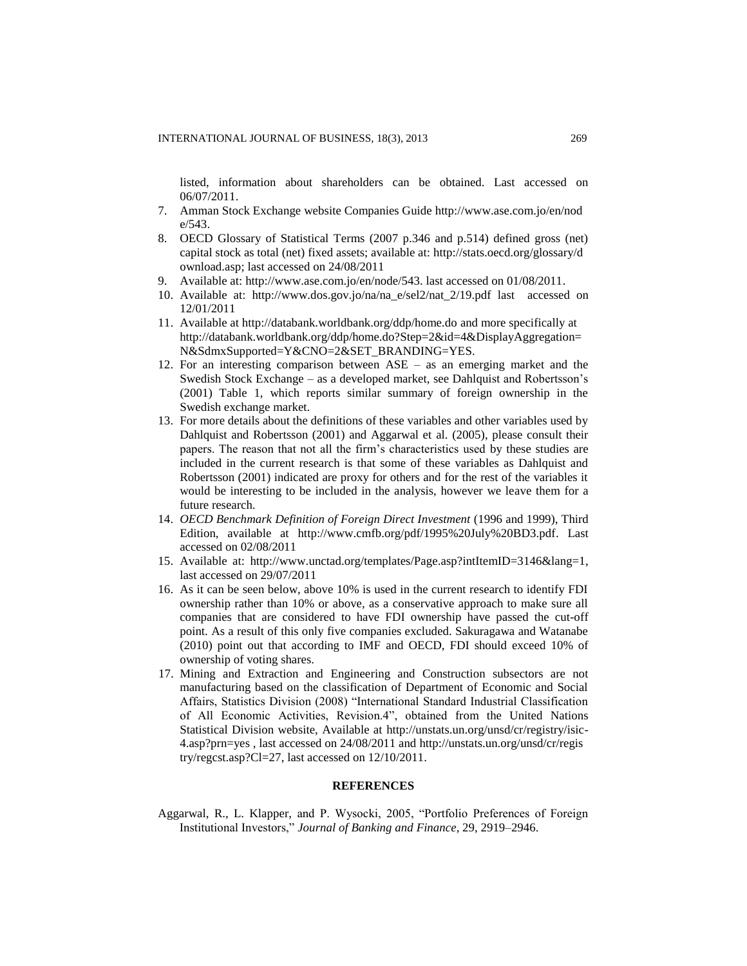listed, information about shareholders can be obtained. Last accessed on 06/07/2011.

- 7. Amman Stock Exchange website Companies Guide http://www.ase.com.jo/en/nod e/543.
- 8. OECD Glossary of Statistical Terms (2007 p.346 and p.514) defined gross (net) capital stock as total (net) fixed assets; available at: http://stats.oecd.org/glossary/d ownload.asp; last accessed on 24/08/2011
- 9. Available at: http://www.ase.com.jo/en/node/543. last accessed on 01/08/2011.
- 10. Available at: http://www.dos.gov.jo/na/na\_e/sel2/nat\_2/19.pdf last accessed on 12/01/2011
- 11. Available at http://databank.worldbank.org/ddp/home.do and more specifically at http://databank.worldbank.org/ddp/home.do?Step=2&id=4&DisplayAggregation= N&SdmxSupported=Y&CNO=2&SET\_BRANDING=YES.
- 12. For an interesting comparison between ASE as an emerging market and the Swedish Stock Exchange – as a developed market, see Dahlquist and Robertsson's (2001) Table 1, which reports similar summary of foreign ownership in the Swedish exchange market.
- 13. For more details about the definitions of these variables and other variables used by Dahlquist and Robertsson (2001) and Aggarwal et al. (2005), please consult their papers. The reason that not all the firm's characteristics used by these studies are included in the current research is that some of these variables as Dahlquist and Robertsson (2001) indicated are proxy for others and for the rest of the variables it would be interesting to be included in the analysis, however we leave them for a future research.
- 14. *OECD Benchmark Definition of Foreign Direct Investment* (1996 and 1999), Third Edition, available at http://www.cmfb.org/pdf/1995%20July%20BD3.pdf. Last accessed on 02/08/2011
- 15. Available at: http://www.unctad.org/templates/Page.asp?intItemID=3146&lang=1, last accessed on 29/07/2011
- 16. As it can be seen below, above 10% is used in the current research to identify FDI ownership rather than 10% or above, as a conservative approach to make sure all companies that are considered to have FDI ownership have passed the cut-off point. As a result of this only five companies excluded. Sakuragawa and Watanabe (2010) point out that according to IMF and OECD, FDI should exceed 10% of ownership of voting shares.
- 17. Mining and Extraction and Engineering and Construction subsectors are not manufacturing based on the classification of Department of Economic and Social Affairs, Statistics Division (2008) "International Standard Industrial Classification of All Economic Activities, Revision.4", obtained from the United Nations Statistical Division website, Available at http://unstats.un.org/unsd/cr/registry/isic-4.asp?prn=yes , last accessed on 24/08/2011 and http://unstats.un.org/unsd/cr/regis try/regcst.asp?Cl=27, last accessed on 12/10/2011.

### **REFERENCES**

Aggarwal, R., L. Klapper, and P. Wysocki, 2005, "Portfolio Preferences of Foreign Institutional Investors," *Journal of Banking and Finance*, 29, 2919–2946.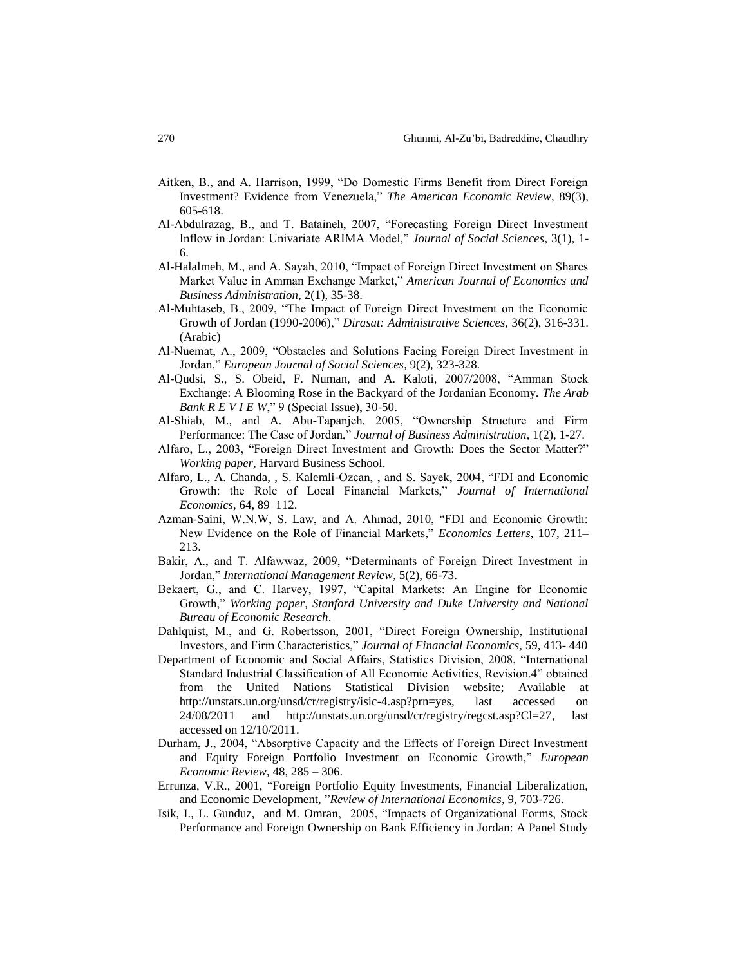- Aitken, B., and A. Harrison, 1999, "Do Domestic Firms Benefit from Direct Foreign Investment? Evidence from Venezuela," *The American Economic Review*, 89(3), 605-618.
- Al-Abdulrazag, B., and T. Bataineh, 2007, "Forecasting Foreign Direct Investment Inflow in Jordan: Univariate ARIMA Model," *Journal of Social Sciences*, 3(1), 1- 6.
- Al-Halalmeh, M., and A. Sayah, 2010, "Impact of Foreign Direct Investment on Shares Market Value in Amman Exchange Market," *American Journal of Economics and Business Administration*, 2(1), 35-38.
- Al-Muhtaseb, B., 2009, "The Impact of Foreign Direct Investment on the Economic Growth of Jordan (1990-2006)," *Dirasat: Administrative Sciences*, 36(2), 316-331. (Arabic)
- Al-Nuemat, A., 2009, "Obstacles and Solutions Facing Foreign Direct Investment in Jordan," *European Journal of Social Sciences*, 9(2), 323-328.
- Al-Qudsi, S., S. Obeid, F. Numan, and A. Kaloti, 2007/2008, "Amman Stock Exchange: A Blooming Rose in the Backyard of the Jordanian Economy. *The Arab Bank R E V I E W*," 9 (Special Issue), 30-50.
- Al-Shiab, M., and A. Abu-Tapanjeh, 2005, "Ownership Structure and Firm Performance: The Case of Jordan," *Journal of Business Administration*, 1(2), 1-27.
- Alfaro, L., 2003, "Foreign Direct Investment and Growth: Does the Sector Matter?" *Working paper,* Harvard Business School.
- Alfaro, L., A. Chanda, , S. Kalemli-Ozcan, , and S. Sayek, 2004, "FDI and Economic Growth: the Role of Local Financial Markets," *Journal of International Economics*, 64, 89–112.
- Azman-Saini, W.N.W, S. Law, and A. Ahmad, 2010, "FDI and Economic Growth: New Evidence on the Role of Financial Markets," *Economics Letters*, 107, 211– 213.
- Bakir, A., and T. Alfawwaz, 2009, "Determinants of Foreign Direct Investment in Jordan," *International Management Review*, 5(2), 66-73.
- Bekaert, G., and C. Harvey, 1997, "Capital Markets: An Engine for Economic Growth," *Working paper, Stanford University and Duke University and National Bureau of Economic Research*.
- Dahlquist, M., and G. Robertsson, 2001, "Direct Foreign Ownership, Institutional Investors, and Firm Characteristics," *Journal of Financial Economics*, 59, 413- 440
- Department of Economic and Social Affairs, Statistics Division, 2008, "International Standard Industrial Classification of All Economic Activities, Revision.4" obtained from the United Nations Statistical Division website; Available at http://unstats.un.org/unsd/cr/registry/isic-4.asp?prn=yes, last accessed on 24/08/2011 and http://unstats.un.org/unsd/cr/registry/regcst.asp?Cl=27, last accessed on 12/10/2011.
- Durham, J., 2004, "Absorptive Capacity and the Effects of Foreign Direct Investment and Equity Foreign Portfolio Investment on Economic Growth," *European Economic Review*, 48, 285 – 306.
- Errunza, V.R., 2001, "Foreign Portfolio Equity Investments, Financial Liberalization, and Economic Development, "*Review of International Economics*, 9, 703-726.
- Isik, I., L. Gunduz, and M. Omran, 2005, "Impacts of Organizational Forms, Stock Performance and Foreign Ownership on Bank Efficiency in Jordan: A Panel Study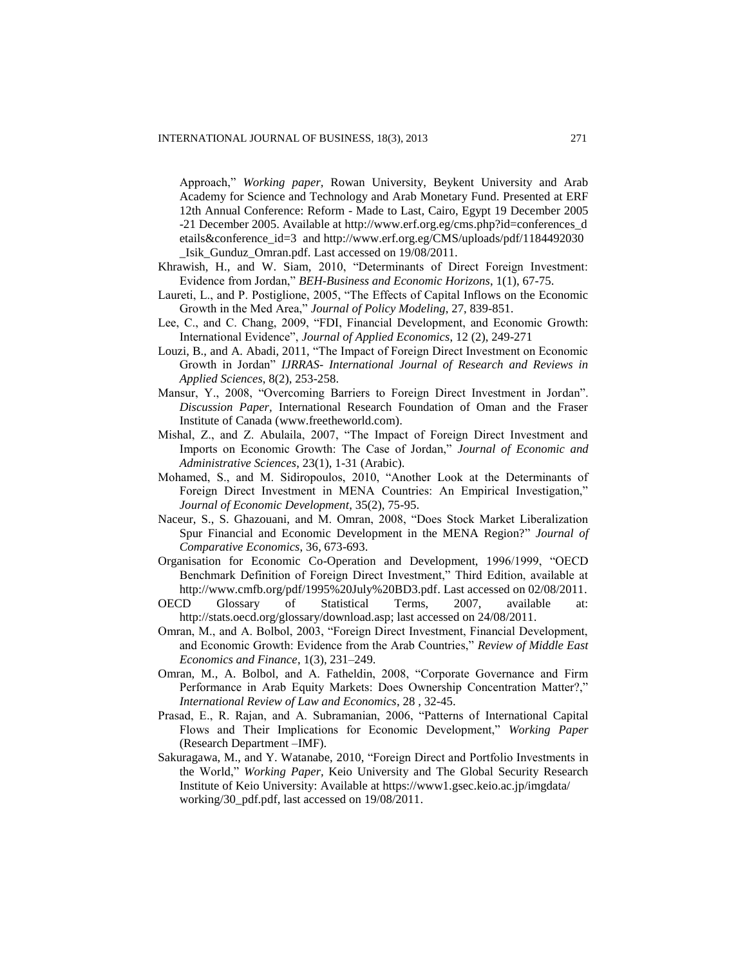Approach," *Working paper,* Rowan University, Beykent University and Arab Academy for Science and Technology and Arab Monetary Fund. Presented at ERF 12th Annual Conference: Reform - Made to Last, Cairo, Egypt 19 December 2005 -21 December 2005. Available at http://www.erf.org.eg/cms.php?id=conferences\_d etails&conference\_id=3 and http://www.erf.org.eg/CMS/uploads/pdf/1184492030 \_Isik\_Gunduz\_Omran.pdf. Last accessed on 19/08/2011.

- Khrawish, H., and W. Siam, 2010, "Determinants of Direct Foreign Investment: Evidence from Jordan," *BEH-Business and Economic Horizons*, 1(1), 67-75.
- Laureti, L., and P. Postiglione, 2005, "The Effects of Capital Inflows on the Economic Growth in the Med Area," *Journal of Policy Modeling*, 27, 839-851.
- Lee, C., and C. Chang, 2009, "FDI, Financial Development, and Economic Growth: International Evidence", *Journal of Applied Economics*, 12 (2), 249-271
- Louzi, B., and A. Abadi, 2011, "The Impact of Foreign Direct Investment on Economic Growth in Jordan" *IJRRAS- International Journal of Research and Reviews in Applied Sciences*, 8(2), 253-258.
- Mansur, Y., 2008, "Overcoming Barriers to Foreign Direct Investment in Jordan". *Discussion Paper,* International Research Foundation of Oman and the Fraser Institute of Canada (www.freetheworld.com).
- Mishal, Z., and Z. Abulaila, 2007, "The Impact of Foreign Direct Investment and Imports on Economic Growth: The Case of Jordan," *Journal of Economic and Administrative Sciences*, 23(1), 1-31 (Arabic).
- Mohamed, S., and M. Sidiropoulos, 2010, "Another Look at the Determinants of Foreign Direct Investment in MENA Countries: An Empirical Investigation," *Journal of Economic Development*, 35(2), 75-95.
- Naceur, S., S. Ghazouani, and M. Omran, 2008, "Does Stock Market Liberalization Spur Financial and Economic Development in the MENA Region?" *Journal of Comparative Economics*, 36, 673-693.
- Organisation for Economic Co-Operation and Development, 1996/1999, "OECD Benchmark Definition of Foreign Direct Investment," Third Edition, available at http://www.cmfb.org/pdf/1995%20July%20BD3.pdf. Last accessed on 02/08/2011.
- OECD Glossary of Statistical Terms, 2007, available at: http://stats.oecd.org/glossary/download.asp; last accessed on 24/08/2011.
- Omran, M., and A. Bolbol, 2003, "Foreign Direct Investment, Financial Development, and Economic Growth: Evidence from the Arab Countries," *Review of Middle East Economics and Finance*, 1(3), 231–249.
- Omran, M., A. Bolbol, and A. Fatheldin, 2008, "Corporate Governance and Firm Performance in Arab Equity Markets: Does Ownership Concentration Matter?," *International Review of Law and Economics*, 28 , 32-45.
- Prasad, E., R. Rajan, and A. Subramanian, 2006, "Patterns of International Capital Flows and Their Implications for Economic Development," *Working Paper*  (Research Department –IMF).
- Sakuragawa, M., and Y. Watanabe, 2010, "Foreign Direct and Portfolio Investments in the World," *Working Paper,* Keio University and The Global Security Research Institute of Keio University: Available at<https://www1.gsec.keio.ac.jp/imgdata/> working/30\_pdf.pdf, last accessed on 19/08/2011.